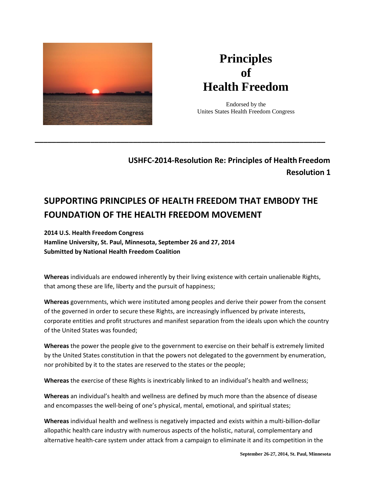

# **Principles of Health Freedom**

Endorsed by the Unites States Health Freedom Congress

# **USHFC-2014-Resolution Re: Principles of Health Freedom Resolution 1**

# **SUPPORTING PRINCIPLES OF HEALTH FREEDOM THAT EMBODY THE FOUNDATION OF THE HEALTH FREEDOM MOVEMENT**

**\_\_\_\_\_\_\_\_\_\_\_\_\_\_\_\_\_\_\_\_\_\_\_\_\_\_\_\_\_\_\_\_\_\_\_\_\_\_\_\_\_\_\_\_\_\_\_\_\_\_\_\_\_\_\_\_\_\_\_\_\_\_\_\_\_\_\_\_**

**2014 U.S. Health Freedom Congress Hamline University, St. Paul, Minnesota, September 26 and 27, 2014 Submitted by National Health Freedom Coalition**

**Whereas** individuals are endowed inherently by their living existence with certain unalienable Rights, that among these are life, liberty and the pursuit of happiness;

**Whereas** governments, which were instituted among peoples and derive their power from the consent of the governed in order to secure these Rights, are increasingly influenced by private interests, corporate entities and profit structures and manifest separation from the ideals upon which the country of the United States was founded;

**Whereas** the power the people give to the government to exercise on their behalf is extremely limited by the United States constitution in that the powers not delegated to the government by enumeration, nor prohibited by it to the states are reserved to the states or the people;

**Whereas** the exercise of these Rights is inextricably linked to an individual's health and wellness;

**Whereas** an individual's health and wellness are defined by much more than the absence of disease and encompasses the well-being of one's physical, mental, emotional, and spiritual states;

**Whereas** individual health and wellness is negatively impacted and exists within a multi-billion-dollar allopathic health care industry with numerous aspects of the holistic, natural, complementary and alternative health-care system under attack from a campaign to eliminate it and its competition in the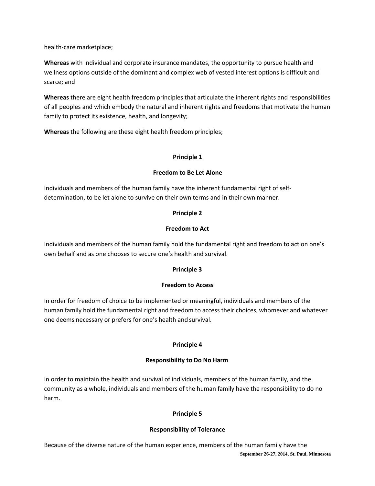health-care marketplace;

**Whereas** with individual and corporate insurance mandates, the opportunity to pursue health and wellness options outside of the dominant and complex web of vested interest options is difficult and scarce; and

**Whereas** there are eight health freedom principles that articulate the inherent rights and responsibilities of all peoples and which embody the natural and inherent rights and freedoms that motivate the human family to protect its existence, health, and longevity;

**Whereas** the following are these eight health freedom principles;

#### **Principle 1**

#### **Freedom to Be Let Alone**

Individuals and members of the human family have the inherent fundamental right of selfdetermination, to be let alone to survive on their own terms and in their own manner.

#### **Principle 2**

#### **Freedom to Act**

Individuals and members of the human family hold the fundamental right and freedom to act on one's own behalf and as one chooses to secure one's health and survival.

# **Principle 3**

#### **Freedom to Access**

In order for freedom of choice to be implemented or meaningful, individuals and members of the human family hold the fundamental right and freedom to access their choices, whomever and whatever one deems necessary or prefers for one's health and survival.

#### **Principle 4**

#### **Responsibility to Do No Harm**

In order to maintain the health and survival of individuals, members of the human family, and the community as a whole, individuals and members of the human family have the responsibility to do no harm.

# **Principle 5**

#### **Responsibility of Tolerance**

**September 26-27, 2014, St. Paul, Minnesota** Because of the diverse nature of the human experience, members of the human family have the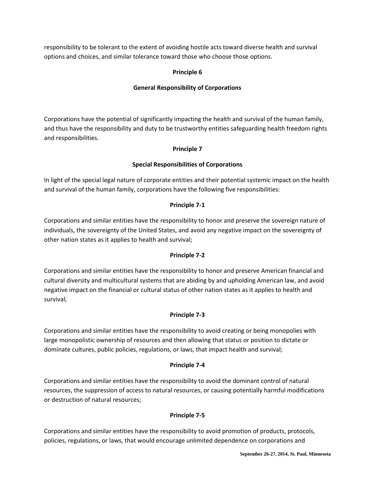responsibility to be tolerant to the extent of avoiding hostile acts toward diverse health and survival options and choices, and similar tolerance toward those who choose those options.

# **Principle 6**

# **General Responsibility of Corporations**

Corporations have the potential of significantly impacting the health and survival of the human family, and thus have the responsibility and duty to be trustworthy entities safeguarding health freedom rights and responsibilities.

# **Principle 7**

# **Special Responsibilities of Corporations**

In light of the special legal nature of corporate entities and their potential systemic impact on the health and survival of the human family, corporations have the following five responsibilities:

# **Principle 7-1**

Corporations and similar entities have the responsibility to honor and preserve the sovereign nature of individuals, the sovereignty of the United States, and avoid any negative impact on the sovereignty of other nation states as it applies to health and survival;

# **Principle 7-2**

Corporations and similar entities have the responsibility to honor and preserve American financial and cultural diversity and multicultural systems that are abiding by and upholding American law, and avoid negative impact on the financial or cultural status of other nation states as it applies to health and survival;

# **Principle 7-3**

Corporations and similar entities have the responsibility to avoid creating or being monopolies with large monopolistic ownership of resources and then allowing that status or position to dictate or dominate cultures, public policies, regulations, or laws, that impact health and survival;

# **Principle 7-4**

Corporations and similar entities have the responsibility to avoid the dominant control of natural resources, the suppression of access to natural resources, or causing potentially harmful modifications or destruction of natural resources;

# **Principle 7-5**

Corporations and similar entities have the responsibility to avoid promotion of products, protocols, policies, regulations, or laws, that would encourage unlimited dependence on corporations and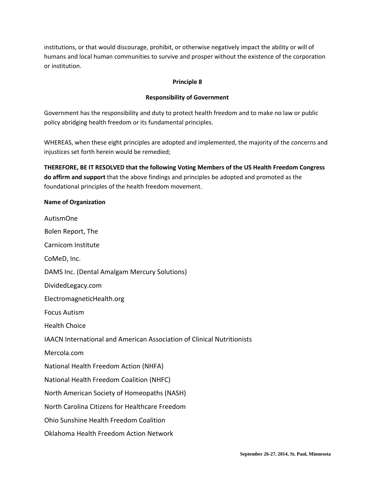institutions, or that would discourage, prohibit, or otherwise negatively impact the ability or will of humans and local human communities to survive and prosper without the existence of the corporation or institution.

#### **Principle 8**

#### **Responsibility of Government**

Government has the responsibility and duty to protect health freedom and to make no law or public policy abridging health freedom or its fundamental principles.

WHEREAS, when these eight principles are adopted and implemented, the majority of the concerns and injustices set forth herein would be remedied;

**THEREFORE, BE IT RESOLVED that the following Voting Members of the US Health Freedom Congress do affirm and support** that the above findings and principles be adopted and promoted as the foundational principles of the health freedom movement.

# **Name of Organization**

AutismOne Bolen Report, The Carnicom Institute CoMeD, Inc. DAMS Inc. (Dental Amalgam Mercury Solutions) DividedLegacy.com ElectromagneticHealth.org Focus Autism Health Choice IAACN International and American Association of Clinical Nutritionists Mercola.com National Health Freedom Action (NHFA) National Health Freedom Coalition (NHFC) North American Society of Homeopaths (NASH) North Carolina Citizens for Healthcare Freedom Ohio Sunshine Health Freedom Coalition

Oklahoma Health Freedom Action Network